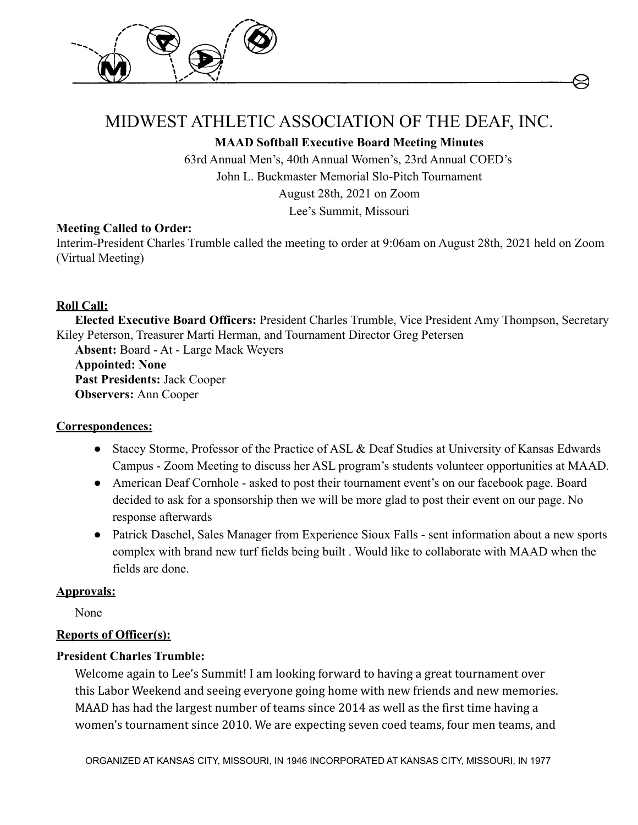



# MIDWEST ATHLETIC ASSOCIATION OF THE DEAF, INC.

**MAAD Softball Executive Board Meeting Minutes**

63rd Annual Men's, 40th Annual Women's, 23rd Annual COED's John L. Buckmaster Memorial Slo-Pitch Tournament August 28th, 2021 on Zoom Lee's Summit, Missouri

## **Meeting Called to Order:**

Interim-President Charles Trumble called the meeting to order at 9:06am on August 28th, 2021 held on Zoom (Virtual Meeting)

# **Roll Call:**

**Elected Executive Board Officers:** President Charles Trumble, Vice President Amy Thompson, Secretary Kiley Peterson, Treasurer Marti Herman, and Tournament Director Greg Petersen

**Absent:** Board - At - Large Mack Weyers **Appointed: None Past Presidents:** Jack Cooper **Observers:** Ann Cooper

# **Correspondences:**

- Stacey Storme, Professor of the Practice of ASL & Deaf Studies at University of Kansas Edwards Campus - Zoom Meeting to discuss her ASL program's students volunteer opportunities at MAAD.
- American Deaf Cornhole asked to post their tournament event's on our facebook page. Board decided to ask for a sponsorship then we will be more glad to post their event on our page. No response afterwards
- Patrick Daschel, Sales Manager from Experience Sioux Falls sent information about a new sports complex with brand new turf fields being built . Would like to collaborate with MAAD when the fields are done.

# **Approvals:**

None

# **Reports of Officer(s):**

# **President Charles Trumble:**

Welcome again to Lee's Summit! I am looking forward to having a great tournament over this Labor Weekend and seeing everyone going home with new friends and new memories. MAAD has had the largest number of teams since 2014 as well as the first time having a women's tournament since 2010. We are expecting seven coed teams, four men teams, and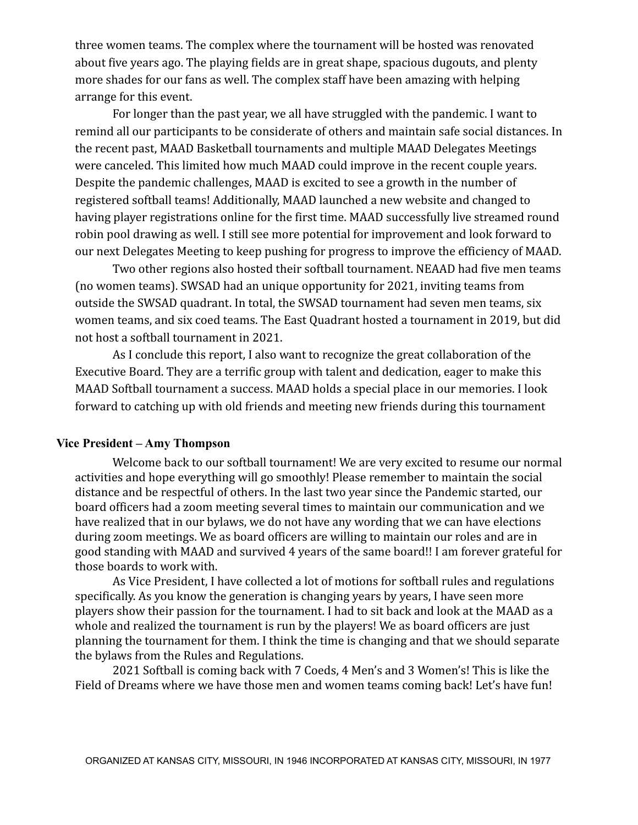three women teams. The complex where the tournament will be hosted was renovated about five years ago. The playing fields are in great shape, spacious dugouts, and plenty more shades for our fans as well. The complex staff have been amazing with helping arrange for this event.

For longer than the past year, we all have struggled with the pandemic. I want to remind all our participants to be considerate of others and maintain safe social distances. In the recent past, MAAD Basketball tournaments and multiple MAAD Delegates Meetings were canceled. This limited how much MAAD could improve in the recent couple years. Despite the pandemic challenges, MAAD is excited to see a growth in the number of registered softball teams! Additionally, MAAD launched a new website and changed to having player registrations online for the first time. MAAD successfully live streamed round robin pool drawing as well. I still see more potential for improvement and look forward to our next Delegates Meeting to keep pushing for progress to improve the efficiency of MAAD.

Two other regions also hosted their softball tournament. NEAAD had five men teams (no women teams). SWSAD had an unique opportunity for 2021, inviting teams from outside the SWSAD quadrant. In total, the SWSAD tournament had seven men teams, six women teams, and six coed teams. The East Quadrant hosted a tournament in 2019, but did not host a softball tournament in 2021.

As I conclude this report, I also want to recognize the great collaboration of the Executive Board. They are a terrific group with talent and dedication, eager to make this MAAD Softball tournament a success. MAAD holds a special place in our memories. I look forward to catching up with old friends and meeting new friends during this tournament

#### **Vice President – Amy Thompson**

Welcome back to our softball tournament! We are very excited to resume our normal activities and hope everything will go smoothly! Please remember to maintain the social distance and be respectful of others. In the last two year since the Pandemic started, our board officers had a zoom meeting several times to maintain our communication and we have realized that in our bylaws, we do not have any wording that we can have elections during zoom meetings. We as board officers are willing to maintain our roles and are in good standing with MAAD and survived 4 years of the same board!! I am forever grateful for those boards to work with.

As Vice President, I have collected a lot of motions for softball rules and regulations specifically. As you know the generation is changing years by years, I have seen more players show their passion for the tournament. I had to sit back and look at the MAAD as a whole and realized the tournament is run by the players! We as board officers are just planning the tournament for them. I think the time is changing and that we should separate the bylaws from the Rules and Regulations.

2021 Softball is coming back with 7 Coeds, 4 Men's and 3 Women's! This is like the Field of Dreams where we have those men and women teams coming back! Let's have fun!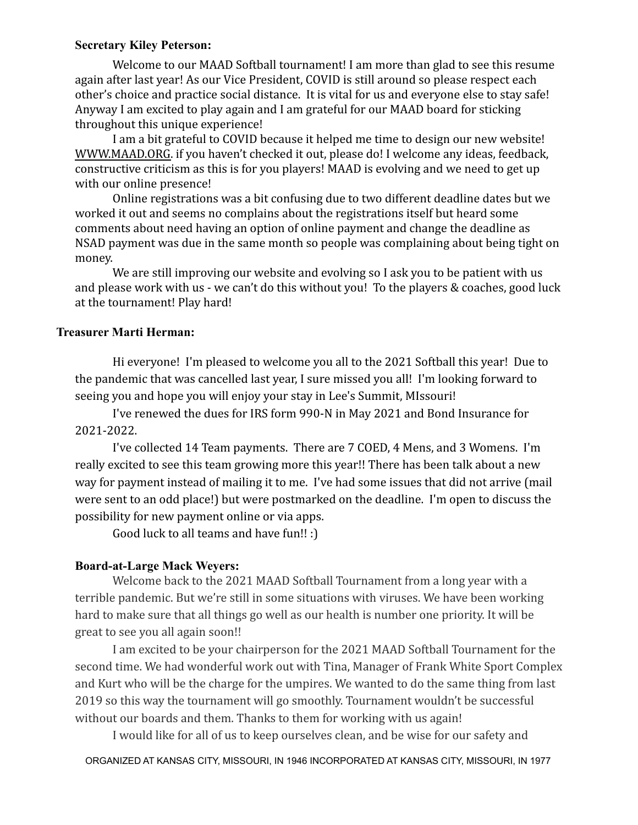#### **Secretary Kiley Peterson:**

Welcome to our MAAD Softball tournament! I am more than glad to see this resume again after last year! As our Vice President, COVID is still around so please respect each other's choice and practice social distance. It is vital for us and everyone else to stay safe! Anyway I am excited to play again and I am grateful for our MAAD board for sticking throughout this unique experience!

I am a bit grateful to COVID because it helped me time to design our new website! [WWW.MAAD.ORG.](http://www.maad.org) if you haven't checked it out, please do! I welcome any ideas, feedback, constructive criticism as this is for you players! MAAD is evolving and we need to get up with our online presence!

Online registrations was a bit confusing due to two different deadline dates but we worked it out and seems no complains about the registrations itself but heard some comments about need having an option of online payment and change the deadline as NSAD payment was due in the same month so people was complaining about being tight on money.

We are still improving our website and evolving so I ask you to be patient with us and please work with us - we can't do this without you! To the players & coaches, good luck at the tournament! Play hard!

## **Treasurer Marti Herman:**

Hi everyone! I'm pleased to welcome you all to the 2021 Softball this year! Due to the pandemic that was cancelled last year, I sure missed you all! I'm looking forward to seeing you and hope you will enjoy your stay in Lee's Summit, MIssouri!

I've renewed the dues for IRS form 990-N in May 2021 and Bond Insurance for 2021-2022.

I've collected 14 Team payments. There are 7 COED, 4 Mens, and 3 Womens. I'm really excited to see this team growing more this year!! There has been talk about a new way for payment instead of mailing it to me. I've had some issues that did not arrive (mail were sent to an odd place!) but were postmarked on the deadline. I'm open to discuss the possibility for new payment online or via apps.

Good luck to all teams and have fun!! :)

#### **Board-at-Large Mack Weyers:**

Welcome back to the 2021 MAAD Softball Tournament from a long year with a terrible pandemic. But we're still in some situations with viruses. We have been working hard to make sure that all things go well as our health is number one priority. It will be great to see you all again soon!!

I am excited to be your chairperson for the 2021 MAAD Softball Tournament for the second time. We had wonderful work out with Tina, Manager of Frank White Sport Complex and Kurt who will be the charge for the umpires. We wanted to do the same thing from last 2019 so this way the tournament will go smoothly. Tournament wouldn't be successful without our boards and them. Thanks to them for working with us again!

I would like for all of us to keep ourselves clean, and be wise for our safety and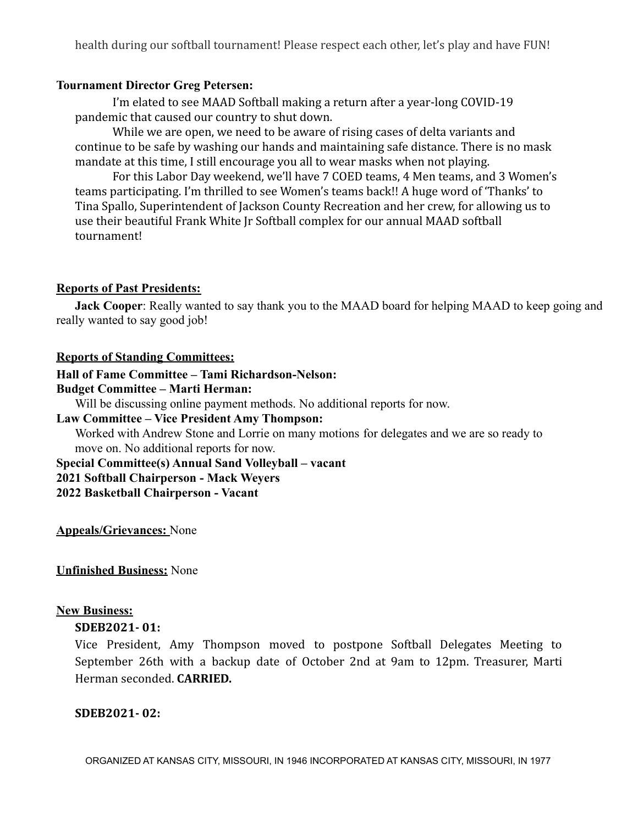health during our softball tournament! Please respect each other, let's play and have FUN!

#### **Tournament Director Greg Petersen:**

I'm elated to see MAAD Softball making a return after a year-long COVID-19 pandemic that caused our country to shut down.

While we are open, we need to be aware of rising cases of delta variants and continue to be safe by washing our hands and maintaining safe distance. There is no mask mandate at this time, I still encourage you all to wear masks when not playing.

For this Labor Day weekend, we'll have 7 COED teams, 4 Men teams, and 3 Women's teams participating. I'm thrilled to see Women's teams back!! A huge word of 'Thanks' to Tina Spallo, Superintendent of Jackson County Recreation and her crew, for allowing us to use their beautiful Frank White Jr Softball complex for our annual MAAD softball tournament!

#### **Reports of Past Presidents:**

**Jack Cooper**: Really wanted to say thank you to the MAAD board for helping MAAD to keep going and really wanted to say good job!

#### **Reports of Standing Committees:**

# **Hall of Fame Committee – Tami Richardson-Nelson:**

#### **Budget Committee – Marti Herman:**

Will be discussing online payment methods. No additional reports for now.

## **Law Committee – Vice President Amy Thompson:**

Worked with Andrew Stone and Lorrie on many motions for delegates and we are so ready to move on. No additional reports for now.

**Special Committee(s) Annual Sand Volleyball – vacant 2021 Softball Chairperson - Mack Weyers**

**2022 Basketball Chairperson - Vacant**

**Appeals/Grievances:** None

#### **Unfinished Business:** None

#### **New Business:**

## **SDEB2021- 01:**

Vice President, Amy Thompson moved to postpone Softball Delegates Meeting to September 26th with a backup date of October 2nd at 9am to 12pm. Treasurer, Marti Herman seconded. **CARRIED.**

#### **SDEB2021- 02:**